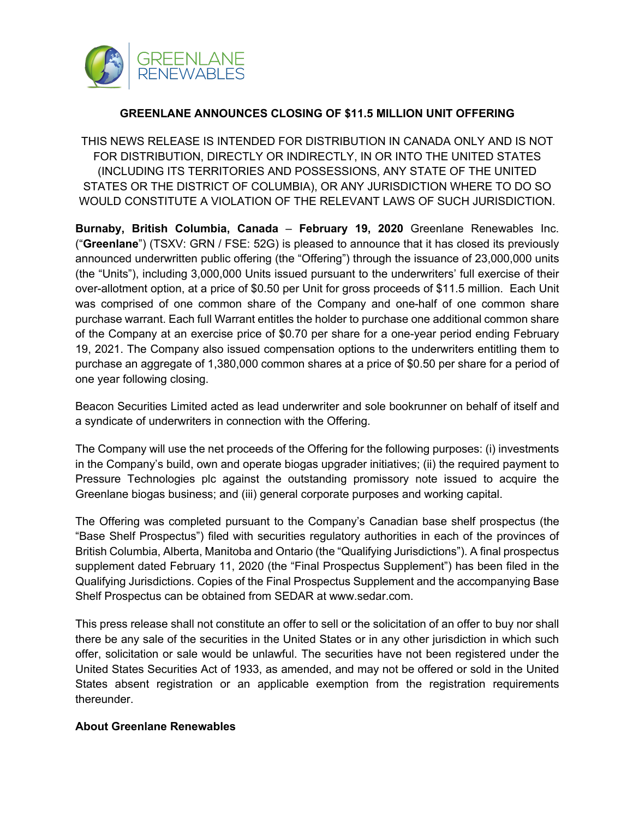

## **GREENLANE ANNOUNCES CLOSING OF \$11.5 MILLION UNIT OFFERING**

THIS NEWS RELEASE IS INTENDED FOR DISTRIBUTION IN CANADA ONLY AND IS NOT FOR DISTRIBUTION, DIRECTLY OR INDIRECTLY, IN OR INTO THE UNITED STATES (INCLUDING ITS TERRITORIES AND POSSESSIONS, ANY STATE OF THE UNITED STATES OR THE DISTRICT OF COLUMBIA), OR ANY JURISDICTION WHERE TO DO SO WOULD CONSTITUTE A VIOLATION OF THE RELEVANT LAWS OF SUCH JURISDICTION.

**Burnaby, British Columbia, Canada** – **February 19, 2020** Greenlane Renewables Inc. ("**Greenlane**") (TSXV: GRN / FSE: 52G) is pleased to announce that it has closed its previously announced underwritten public offering (the "Offering") through the issuance of 23,000,000 units (the "Units"), including 3,000,000 Units issued pursuant to the underwriters' full exercise of their over-allotment option, at a price of \$0.50 per Unit for gross proceeds of \$11.5 million. Each Unit was comprised of one common share of the Company and one-half of one common share purchase warrant. Each full Warrant entitles the holder to purchase one additional common share of the Company at an exercise price of \$0.70 per share for a one-year period ending February 19, 2021. The Company also issued compensation options to the underwriters entitling them to purchase an aggregate of 1,380,000 common shares at a price of \$0.50 per share for a period of one year following closing.

Beacon Securities Limited acted as lead underwriter and sole bookrunner on behalf of itself and a syndicate of underwriters in connection with the Offering.

The Company will use the net proceeds of the Offering for the following purposes: (i) investments in the Company's build, own and operate biogas upgrader initiatives; (ii) the required payment to Pressure Technologies plc against the outstanding promissory note issued to acquire the Greenlane biogas business; and (iii) general corporate purposes and working capital.

The Offering was completed pursuant to the Company's Canadian base shelf prospectus (the "Base Shelf Prospectus") filed with securities regulatory authorities in each of the provinces of British Columbia, Alberta, Manitoba and Ontario (the "Qualifying Jurisdictions"). A final prospectus supplement dated February 11, 2020 (the "Final Prospectus Supplement") has been filed in the Qualifying Jurisdictions. Copies of the Final Prospectus Supplement and the accompanying Base Shelf Prospectus can be obtained from SEDAR at www.sedar.com.

This press release shall not constitute an offer to sell or the solicitation of an offer to buy nor shall there be any sale of the securities in the United States or in any other jurisdiction in which such offer, solicitation or sale would be unlawful. The securities have not been registered under the United States Securities Act of 1933, as amended, and may not be offered or sold in the United States absent registration or an applicable exemption from the registration requirements thereunder.

## **About Greenlane Renewables**